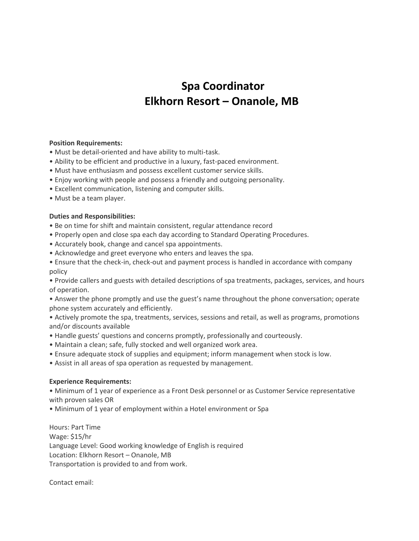## **Spa Coordinator Elkhorn Resort – Onanole, MB**

## **Position Requirements:**

- Must be detail-oriented and have ability to multi-task.
- Ability to be efficient and productive in a luxury, fast-paced environment.
- Must have enthusiasm and possess excellent customer service skills.
- Enjoy working with people and possess a friendly and outgoing personality.
- Excellent communication, listening and computer skills.
- Must be a team player.

## **Duties and Responsibilities:**

- Be on time for shift and maintain consistent, regular attendance record
- Properly open and close spa each day according to Standard Operating Procedures.
- Accurately book, change and cancel spa appointments.
- Acknowledge and greet everyone who enters and leaves the spa.
- Ensure that the check-in, check-out and payment process is handled in accordance with company policy

• Provide callers and guests with detailed descriptions of spa treatments, packages, services, and hours of operation.

- Answer the phone promptly and use the guest's name throughout the phone conversation; operate phone system accurately and efficiently.
- Actively promote the spa, treatments, services, sessions and retail, as well as programs, promotions and/or discounts available
- Handle guests' questions and concerns promptly, professionally and courteously.
- Maintain a clean; safe, fully stocked and well organized work area.
- Ensure adequate stock of supplies and equipment; inform management when stock is low.
- Assist in all areas of spa operation as requested by management.

## **Experience Requirements:**

• Minimum of 1 year of experience as a Front Desk personnel or as Customer Service representative with proven sales OR

• Minimum of 1 year of employment within a Hotel environment or Spa

Hours: Part Time Wage: \$15/hr Language Level: Good working knowledge of English is required Location: Elkhorn Resort – Onanole, MB Transportation is provided to and from work.

Contact email: